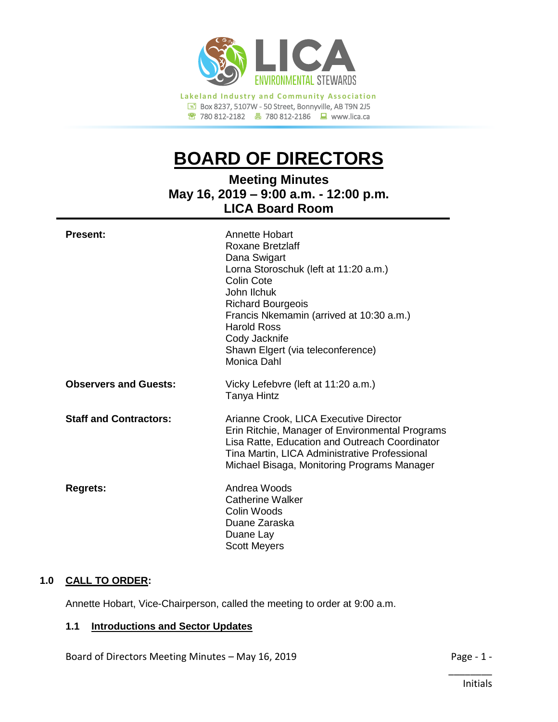

# **BOARD OF DIRECTORS**

**Meeting Minutes May 16, 2019 – 9:00 a.m. - 12:00 p.m. LICA Board Room**

| <b>Present:</b>               | Annette Hobart<br>Roxane Bretzlaff<br>Dana Swigart<br>Lorna Storoschuk (left at 11:20 a.m.)<br>Colin Cote<br>John Ilchuk<br><b>Richard Bourgeois</b><br>Francis Nkemamin (arrived at 10:30 a.m.)<br><b>Harold Ross</b><br>Cody Jacknife<br>Shawn Elgert (via teleconference)<br>Monica Dahl |
|-------------------------------|---------------------------------------------------------------------------------------------------------------------------------------------------------------------------------------------------------------------------------------------------------------------------------------------|
| <b>Observers and Guests:</b>  | Vicky Lefebvre (left at 11:20 a.m.)<br>Tanya Hintz                                                                                                                                                                                                                                          |
| <b>Staff and Contractors:</b> | Arianne Crook, LICA Executive Director<br>Erin Ritchie, Manager of Environmental Programs<br>Lisa Ratte, Education and Outreach Coordinator<br>Tina Martin, LICA Administrative Professional<br>Michael Bisaga, Monitoring Programs Manager                                                 |
| <b>Regrets:</b>               | Andrea Woods<br><b>Catherine Walker</b><br>Colin Woods<br>Duane Zaraska<br>Duane Lay<br><b>Scott Meyers</b>                                                                                                                                                                                 |

# **1.0 CALL TO ORDER:**

Annette Hobart, Vice-Chairperson, called the meeting to order at 9:00 a.m.

# **1.1 Introductions and Sector Updates**

Board of Directors Meeting Minutes – May 16, 2019 **Page - 1 -** Page - 1 -

\_\_\_\_\_\_\_\_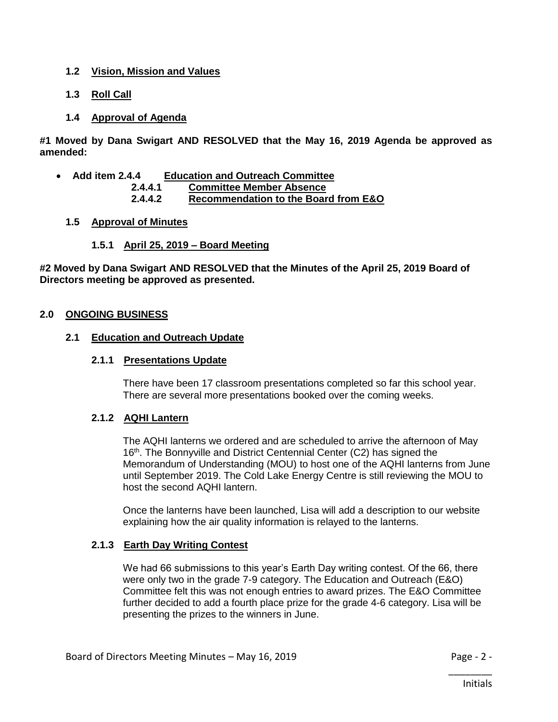# **1.2 Vision, Mission and Values**

- **1.3 Roll Call**
- **1.4 Approval of Agenda**

**#1 Moved by Dana Swigart AND RESOLVED that the May 16, 2019 Agenda be approved as amended:**

- **Add item 2.4.4 Education and Outreach Committee**
	- **2.4.4.1 Committee Member Absence**
	- **2.4.4.2 Recommendation to the Board from E&O**

# **1.5 Approval of Minutes**

# **1.5.1 April 25, 2019 – Board Meeting**

**#2 Moved by Dana Swigart AND RESOLVED that the Minutes of the April 25, 2019 Board of Directors meeting be approved as presented.**

# **2.0 ONGOING BUSINESS**

# **2.1 Education and Outreach Update**

#### **2.1.1 Presentations Update**

There have been 17 classroom presentations completed so far this school year. There are several more presentations booked over the coming weeks.

# **2.1.2 AQHI Lantern**

The AQHI lanterns we ordered and are scheduled to arrive the afternoon of May 16<sup>th</sup>. The Bonnyville and District Centennial Center (C2) has signed the Memorandum of Understanding (MOU) to host one of the AQHI lanterns from June until September 2019. The Cold Lake Energy Centre is still reviewing the MOU to host the second AQHI lantern.

Once the lanterns have been launched, Lisa will add a description to our website explaining how the air quality information is relayed to the lanterns.

# **2.1.3 Earth Day Writing Contest**

We had 66 submissions to this year's Earth Day writing contest. Of the 66, there were only two in the grade 7-9 category. The Education and Outreach (E&O) Committee felt this was not enough entries to award prizes. The E&O Committee further decided to add a fourth place prize for the grade 4-6 category. Lisa will be presenting the prizes to the winners in June.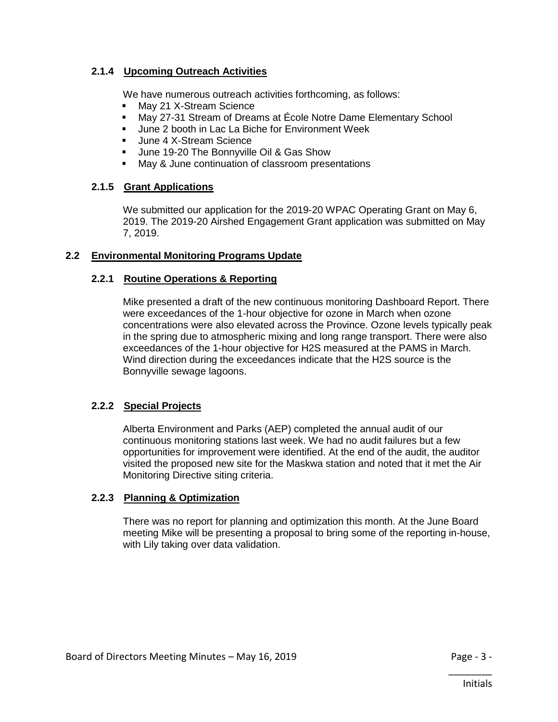# **2.1.4 Upcoming Outreach Activities**

We have numerous outreach activities forthcoming, as follows:

- **May 21 X-Stream Science**
- May 27-31 Stream of Dreams at École Notre Dame Elementary School
- Uune 2 booth in Lac La Biche for Environment Week
- Uune 4 X-Stream Science
- **June 19-20 The Bonnyville Oil & Gas Show**
- **May & June continuation of classroom presentations**

# **2.1.5 Grant Applications**

We submitted our application for the 2019-20 WPAC Operating Grant on May 6, 2019. The 2019-20 Airshed Engagement Grant application was submitted on May 7, 2019.

# **2.2 Environmental Monitoring Programs Update**

# **2.2.1 Routine Operations & Reporting**

Mike presented a draft of the new continuous monitoring Dashboard Report. There were exceedances of the 1-hour objective for ozone in March when ozone concentrations were also elevated across the Province. Ozone levels typically peak in the spring due to atmospheric mixing and long range transport. There were also exceedances of the 1-hour objective for H2S measured at the PAMS in March. Wind direction during the exceedances indicate that the H2S source is the Bonnyville sewage lagoons.

# **2.2.2 Special Projects**

Alberta Environment and Parks (AEP) completed the annual audit of our continuous monitoring stations last week. We had no audit failures but a few opportunities for improvement were identified. At the end of the audit, the auditor visited the proposed new site for the Maskwa station and noted that it met the Air Monitoring Directive siting criteria.

# **2.2.3 Planning & Optimization**

There was no report for planning and optimization this month. At the June Board meeting Mike will be presenting a proposal to bring some of the reporting in-house, with Lily taking over data validation.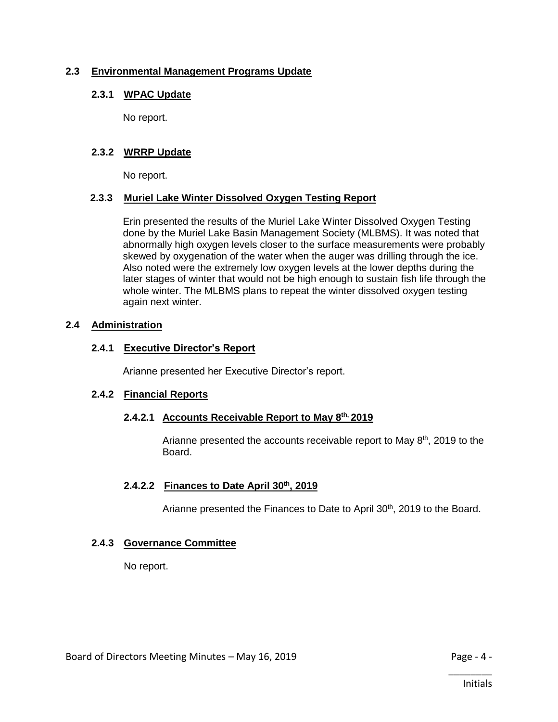# **2.3 Environmental Management Programs Update**

# **2.3.1 WPAC Update**

No report.

# **2.3.2 WRRP Update**

No report.

# **2.3.3 Muriel Lake Winter Dissolved Oxygen Testing Report**

Erin presented the results of the Muriel Lake Winter Dissolved Oxygen Testing done by the Muriel Lake Basin Management Society (MLBMS). It was noted that abnormally high oxygen levels closer to the surface measurements were probably skewed by oxygenation of the water when the auger was drilling through the ice. Also noted were the extremely low oxygen levels at the lower depths during the later stages of winter that would not be high enough to sustain fish life through the whole winter. The MLBMS plans to repeat the winter dissolved oxygen testing again next winter.

# **2.4 Administration**

# **2.4.1 Executive Director's Report**

Arianne presented her Executive Director's report.

# **2.4.2 Financial Reports**

# **2.4.2.1 Accounts Receivable Report to May 8th, 2019**

Arianne presented the accounts receivable report to May  $8<sup>th</sup>$ , 2019 to the Board.

# **2.4.2.2 Finances to Date April 30th, 2019**

Arianne presented the Finances to Date to April 30<sup>th</sup>, 2019 to the Board.

# **2.4.3 Governance Committee**

No report.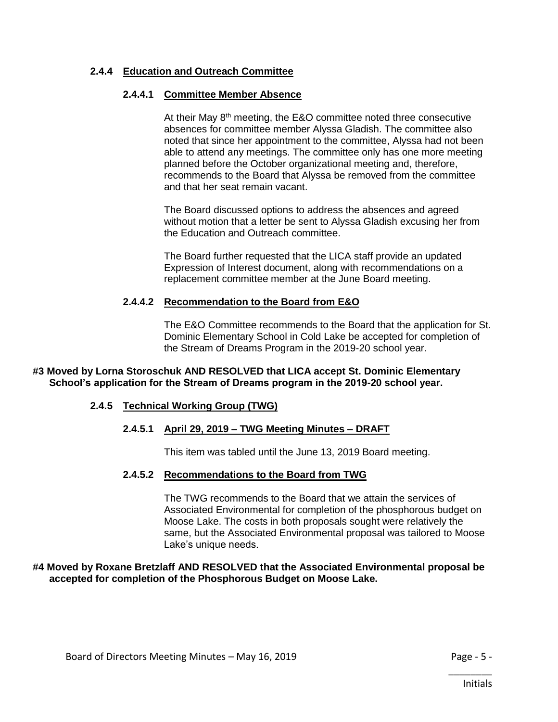# **2.4.4 Education and Outreach Committee**

# **2.4.4.1 Committee Member Absence**

At their May 8<sup>th</sup> meeting, the E&O committee noted three consecutive absences for committee member Alyssa Gladish. The committee also noted that since her appointment to the committee, Alyssa had not been able to attend any meetings. The committee only has one more meeting planned before the October organizational meeting and, therefore, recommends to the Board that Alyssa be removed from the committee and that her seat remain vacant.

The Board discussed options to address the absences and agreed without motion that a letter be sent to Alyssa Gladish excusing her from the Education and Outreach committee.

The Board further requested that the LICA staff provide an updated Expression of Interest document, along with recommendations on a replacement committee member at the June Board meeting.

#### **2.4.4.2 Recommendation to the Board from E&O**

The E&O Committee recommends to the Board that the application for St. Dominic Elementary School in Cold Lake be accepted for completion of the Stream of Dreams Program in the 2019-20 school year.

#### **#3 Moved by Lorna Storoschuk AND RESOLVED that LICA accept St. Dominic Elementary School's application for the Stream of Dreams program in the 2019-20 school year.**

# **2.4.5 Technical Working Group (TWG)**

# **2.4.5.1 April 29, 2019 – TWG Meeting Minutes – DRAFT**

This item was tabled until the June 13, 2019 Board meeting.

#### **2.4.5.2 Recommendations to the Board from TWG**

The TWG recommends to the Board that we attain the services of Associated Environmental for completion of the phosphorous budget on Moose Lake. The costs in both proposals sought were relatively the same, but the Associated Environmental proposal was tailored to Moose Lake's unique needs.

#### **#4 Moved by Roxane Bretzlaff AND RESOLVED that the Associated Environmental proposal be accepted for completion of the Phosphorous Budget on Moose Lake.**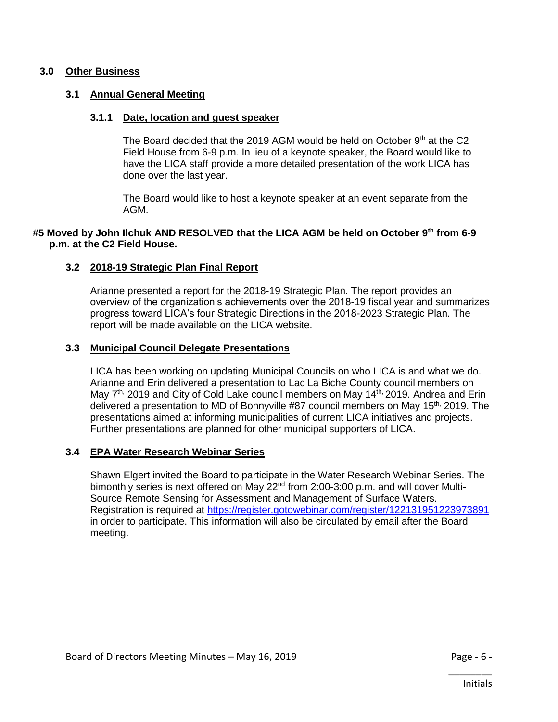## **3.0 Other Business**

## **3.1 Annual General Meeting**

#### **3.1.1 Date, location and guest speaker**

The Board decided that the 2019 AGM would be held on October  $9<sup>th</sup>$  at the C2 Field House from 6-9 p.m. In lieu of a keynote speaker, the Board would like to have the LICA staff provide a more detailed presentation of the work LICA has done over the last year.

The Board would like to host a keynote speaker at an event separate from the AGM.

## **#5 Moved by John Ilchuk AND RESOLVED that the LICA AGM be held on October 9th from 6-9 p.m. at the C2 Field House.**

#### **3.2 2018-19 Strategic Plan Final Report**

Arianne presented a report for the 2018-19 Strategic Plan. The report provides an overview of the organization's achievements over the 2018-19 fiscal year and summarizes progress toward LICA's four Strategic Directions in the 2018-2023 Strategic Plan. The report will be made available on the LICA website.

#### **3.3 Municipal Council Delegate Presentations**

LICA has been working on updating Municipal Councils on who LICA is and what we do. Arianne and Erin delivered a presentation to Lac La Biche County council members on May 7<sup>th,</sup> 2019 and City of Cold Lake council members on May 14<sup>th,</sup> 2019. Andrea and Erin delivered a presentation to MD of Bonnyville #87 council members on May 15<sup>th,</sup> 2019. The presentations aimed at informing municipalities of current LICA initiatives and projects. Further presentations are planned for other municipal supporters of LICA.

## **3.4 EPA Water Research Webinar Series**

Shawn Elgert invited the Board to participate in the Water Research Webinar Series. The bimonthly series is next offered on May 22<sup>nd</sup> from 2:00-3:00 p.m. and will cover Multi-Source Remote Sensing for Assessment and Management of Surface Waters. Registration is required at<https://register.gotowebinar.com/register/122131951223973891> in order to participate. This information will also be circulated by email after the Board meeting.